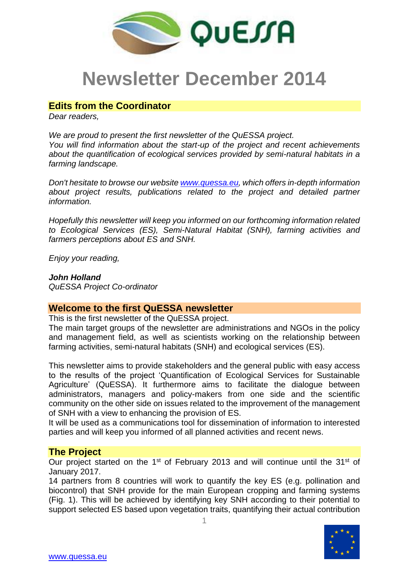

# **Newsletter December 2014**

# **Edits from the Coordinator**

*Dear readers,*

*We are proud to present the first newsletter of the QuESSA project. You will find information about the start-up of the project and recent achievements about the quantification of ecological services provided by semi-natural habitats in a farming landscape.* 

*Don't hesitate to browse our website [www.quessa.eu,](http://www.quessa.eu/) which offers in-depth information*  about project results, publications related to the project and detailed partner *information.* 

*Hopefully this newsletter will keep you informed on our forthcoming information related to Ecological Services (ES), Semi-Natural Habitat (SNH), farming activities and farmers perceptions about ES and SNH.*

*Enjoy your reading,*

*John Holland QuESSA Project Co-ordinator*

# **Welcome to the first QuESSA newsletter**

This is the first newsletter of the QuESSA project.

The main target groups of the newsletter are administrations and NGOs in the policy and management field, as well as scientists working on the relationship between farming activities, semi-natural habitats (SNH) and ecological services (ES).

This newsletter aims to provide stakeholders and the general public with easy access to the results of the project 'Quantification of Ecological Services for Sustainable Agriculture' (QuESSA). It furthermore aims to facilitate the dialogue between administrators, managers and policy-makers from one side and the scientific community on the other side on issues related to the improvement of the management of SNH with a view to enhancing the provision of ES.

It will be used as a communications tool for dissemination of information to interested parties and will keep you informed of all planned activities and recent news.

# **The Project**

Our project started on the 1<sup>st</sup> of February 2013 and will continue until the 31<sup>st</sup> of January 2017.

14 partners from 8 countries will work to quantify the key ES (e.g. pollination and biocontrol) that SNH provide for the main European cropping and farming systems (Fig. 1). This will be achieved by identifying key SNH according to their potential to support selected ES based upon vegetation traits, quantifying their actual contribution

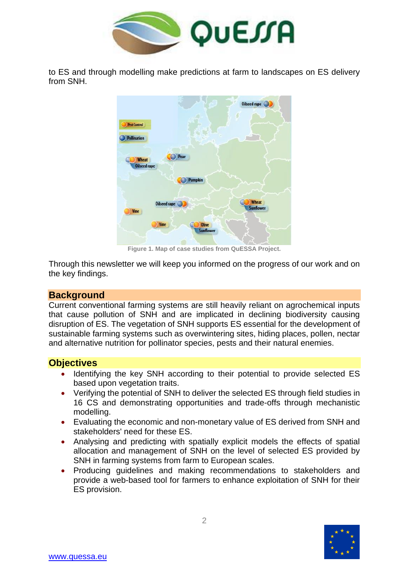

to ES and through modelling make predictions at farm to landscapes on ES delivery from SNH.



**Figure 1. Map of case studies from QuESSA Project.**

Through this newsletter we will keep you informed on the progress of our work and on the key findings.

## **Background**

Current conventional farming systems are still heavily reliant on agrochemical inputs that cause pollution of SNH and are implicated in declining biodiversity causing disruption of ES. The vegetation of SNH supports ES essential for the development of sustainable farming systems such as overwintering sites, hiding places, pollen, nectar and alternative nutrition for pollinator species, pests and their natural enemies.

## **Objectives**

- Identifying the key SNH according to their potential to provide selected ES based upon vegetation traits.
- Verifying the potential of SNH to deliver the selected ES through field studies in 16 CS and demonstrating opportunities and trade-offs through mechanistic modelling.
- Evaluating the economic and non-monetary value of ES derived from SNH and stakeholders' need for these ES.
- Analysing and predicting with spatially explicit models the effects of spatial allocation and management of SNH on the level of selected ES provided by SNH in farming systems from farm to European scales.
- Producing guidelines and making recommendations to stakeholders and provide a web-based tool for farmers to enhance exploitation of SNH for their ES provision.

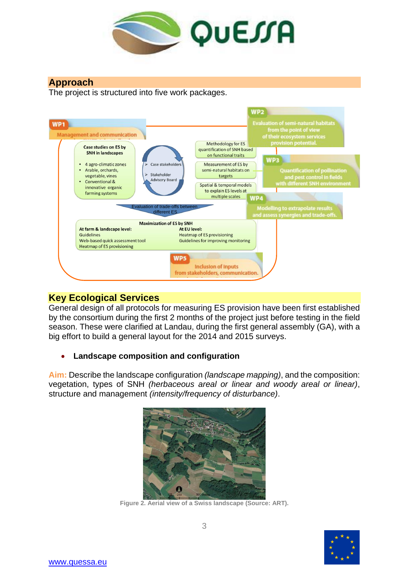

# **Approach**

The project is structured into five work packages.



# **Key Ecological Services**

General design of all protocols for measuring ES provision have been first established by the consortium during the first 2 months of the project just before testing in the field season. These were clarified at Landau, during the first general assembly (GA), with a big effort to build a general layout for the 2014 and 2015 surveys.

# **Landscape composition and configuration**

**Aim:** Describe the landscape configuration *(landscape mapping)*, and the composition: vegetation, types of SNH *(herbaceous areal or linear and woody areal or linear)*, structure and management *(intensity/frequency of disturbance)*.



**Figure 2. Aerial view of a Swiss landscape (Source: ART).**

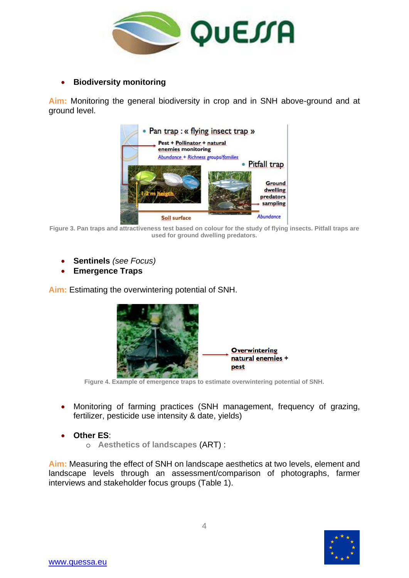

**Biodiversity monitoring**

**Aim:** Monitoring the general biodiversity in crop and in SNH above-ground and at ground level.



**Figure 3. Pan traps and attractiveness test based on colour for the study of flying insects. Pitfall traps are used for ground dwelling predators.**

- **Sentinels** *(see Focus)*
- **Emergence Traps**

**Aim:** Estimating the overwintering potential of SNH.



**Figure 4. Example of emergence traps to estimate overwintering potential of SNH.**

- Monitoring of farming practices (SNH management, frequency of grazing, fertilizer, pesticide use intensity & date, yields)
- **Other ES**:
	- o **Aesthetics of landscapes** (ART) :

**Aim:** Measuring the effect of SNH on landscape aesthetics at two levels, element and landscape levels through an assessment/comparison of photographs, farmer interviews and stakeholder focus groups (Table 1).

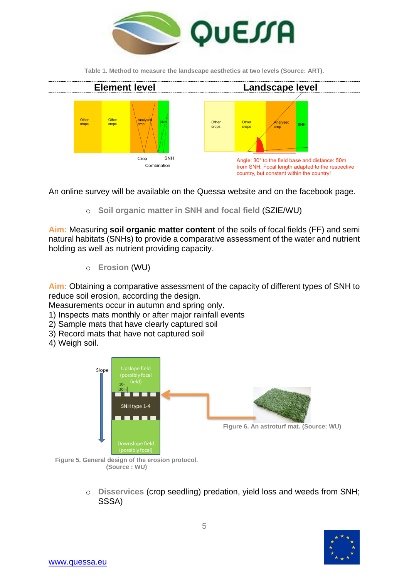

**Table 1. Method to measure the landscape aesthetics at two levels (Source: ART).**



An online survey will be available on the Quessa website and on the facebook page.

o **Soil organic matter in SNH and focal field** (SZIE/WU)

**Aim:** Measuring **soil organic matter content** of the soils of focal fields (FF) and semi natural habitats (SNHs) to provide a comparative assessment of the water and nutrient holding as well as nutrient providing capacity.

o **Erosion** (WU)

**Aim:** Obtaining a comparative assessment of the capacity of different types of SNH to reduce soil erosion, according the design.

Measurements occur in autumn and spring only.

- 1) Inspects mats monthly or after major rainfall events
- 2) Sample mats that have clearly captured soil
- 3) Record mats that have not captured soil
- 4) Weigh soil.



**Figure 5. General design of the erosion protocol. (Source : WU)**

o **Disservices** (crop seedling) predation, yield loss and weeds from SNH; SSSA)

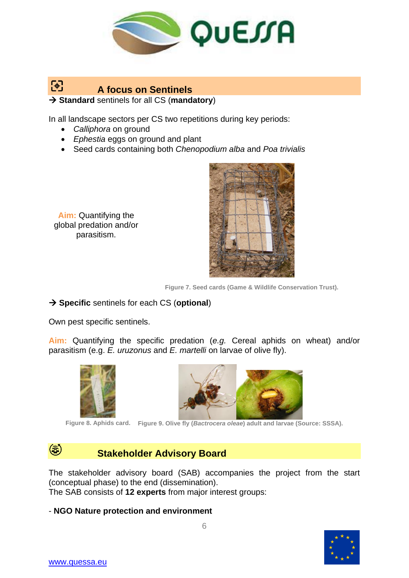

#### 囹 **A focus on Sentinels Standard** sentinels for all CS (**mandatory**)

In all landscape sectors per CS two repetitions during key periods:

- *Calliphora* on ground
- *Ephestia* eggs on ground and plant
- Seed cards containing both *Chenopodium alba* and *Poa trivialis*

**Aim:** Quantifying the global predation and/or parasitism.



**Figure 7. Seed cards (Game & Wildlife Conservation Trust).**

# $\rightarrow$  **Specific** sentinels for each CS (**optional**)

Own pest specific sentinels.

**Aim:** Quantifying the specific predation (*e.g.* Cereal aphids on wheat) and/or parasitism (e.g. *E. uruzonus* and *E. martelli* on larvae of olive fly).



**Figure 8. Aphids card. Figure 9. Olive fly (***Bactrocera oleae***) adult and larvae (Source: SSSA).**

# **Stakeholder Advisory Board**

The stakeholder advisory board (SAB) accompanies the project from the start (conceptual phase) to the end (dissemination).

The SAB consists of **12 experts** from major interest groups:

# - **NGO Nature protection and environment**



 $\circledast$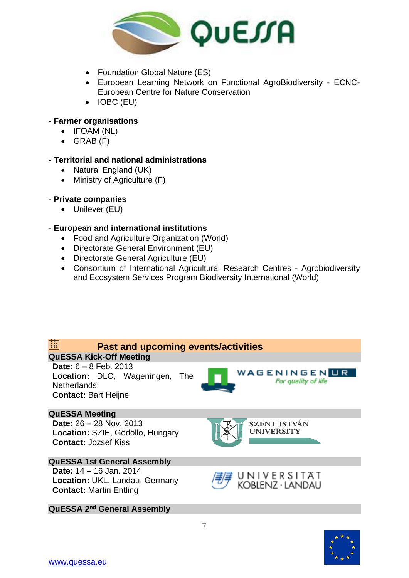

- Foundation Global Nature (ES)
- European Learning Network on Functional AgroBiodiversity ECNC-European Centre for Nature Conservation
- IOBC (EU)

## - **Farmer organisations**

- IFOAM (NL)
- $\bullet$  GRAB  $(F)$

## - **Territorial and national administrations**

- Natural England (UK)
- Ministry of Agriculture (F)

## - **Private companies**

Unilever (EU)

## - **European and international institutions**

- Food and Agriculture Organization (World)
- Directorate General Environment (EU)
- Directorate General Agriculture (EU)
- Consortium of International Agricultural Research Centres Agrobiodiversity and Ecosystem Services Program Biodiversity International (World)